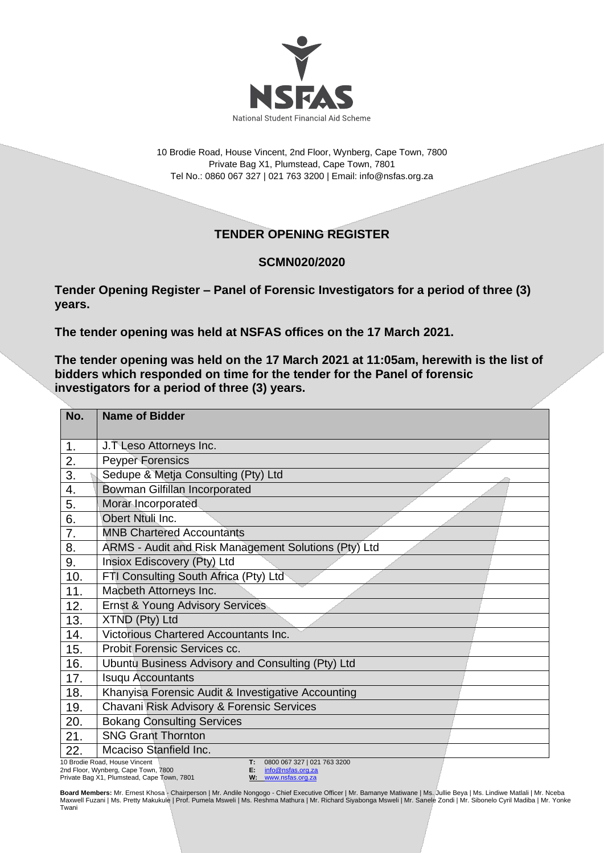

10 Brodie Road, House Vincent, 2nd Floor, Wynberg, Cape Town, 7800 Private Bag X1, Plumstead, Cape Town, 7801 Tel No.: 0860 067 327 | 021 763 3200 | Email[: info@nsfas.org.za](mailto:info@nsfas.org.za)

## **TENDER OPENING REGISTER**

## **SCMN020/2020**

**Tender Opening Register – Panel of Forensic Investigators for a period of three (3) years.**

**The tender opening was held at NSFAS offices on the 17 March 2021.**

**The tender opening was held on the 17 March 2021 at 11:05am, herewith is the list of bidders which responded on time for the tender for the Panel of forensic investigators for a period of three (3) years.**

| No.            | <b>Name of Bidder</b>                                                                                                                  |
|----------------|----------------------------------------------------------------------------------------------------------------------------------------|
| 1 <sub>1</sub> | J.T Leso Attorneys Inc.                                                                                                                |
| 2.             | <b>Peyper Forensics</b>                                                                                                                |
| 3.             | Sedupe & Metja Consulting (Pty) Ltd                                                                                                    |
| 4.             | Bowman Gilfillan Incorporated                                                                                                          |
| 5.             | Morar Incorporated                                                                                                                     |
| 6.             | Obert Ntuli Inc.                                                                                                                       |
| 7.             | <b>MNB Chartered Accountants</b>                                                                                                       |
| 8.             | ARMS - Audit and Risk Management Solutions (Pty) Ltd                                                                                   |
| 9.             | Insiox Ediscovery (Pty) Ltd                                                                                                            |
| 10.            | FTI Consulting South Africa (Pty) Ltd                                                                                                  |
| 11.            | Macbeth Attorneys Inc.                                                                                                                 |
| 12.            | <b>Ernst &amp; Young Advisory Services</b>                                                                                             |
| 13.            | XTND (Pty) Ltd                                                                                                                         |
| 14.            | Victorious Chartered Accountants Inc.                                                                                                  |
| 15.            | Probit Forensic Services cc.                                                                                                           |
| 16.            | Ubuntu Business Advisory and Consulting (Pty) Ltd                                                                                      |
| 17.            | <b>Isuqu Accountants</b>                                                                                                               |
| 18.            | Khanyisa Forensic Audit & Investigative Accounting                                                                                     |
| 19.            | Chavani Risk Advisory & Forensic Services                                                                                              |
| 20.            | <b>Bokang Consulting Services</b>                                                                                                      |
| 21.            | <b>SNG Grant Thornton</b>                                                                                                              |
| 22.            | Mcaciso Stanfield Inc.                                                                                                                 |
|                | 10 Brodie Road, House Vincent<br>0800 067 327   021 763 3200<br>T:<br>2nd Floor, Wynberg, Cape Town, 7800<br>E: 1<br>info@nsfas.org.za |

Private Bag X1, Plumstead, Cape Town, 7801

**E:** [info@nsfas.org.za](mailto:info@nsfas.org.za) **W:** [www.nsfas.org.za](http://www.nsfas.org.za/)

**Board Members:** Mr. Ernest Khosa - Chairperson | Mr. Andile Nongogo - Chief Executive Officer | Mr. Bamanye Matiwane | Ms. Jullie Beya | Ms. Lindiwe Matlali | Mr. Nceba Maxwell Fuzani | Ms. Pretty Makukule | Prof. Pumela Msweli | Ms. Reshma Mathura | Mr. Richard Siyabonga Msweli | Mr. Sanele Zondi | Mr. Sibonelo Cyril Madiba | Mr. Yonke<br>Twani